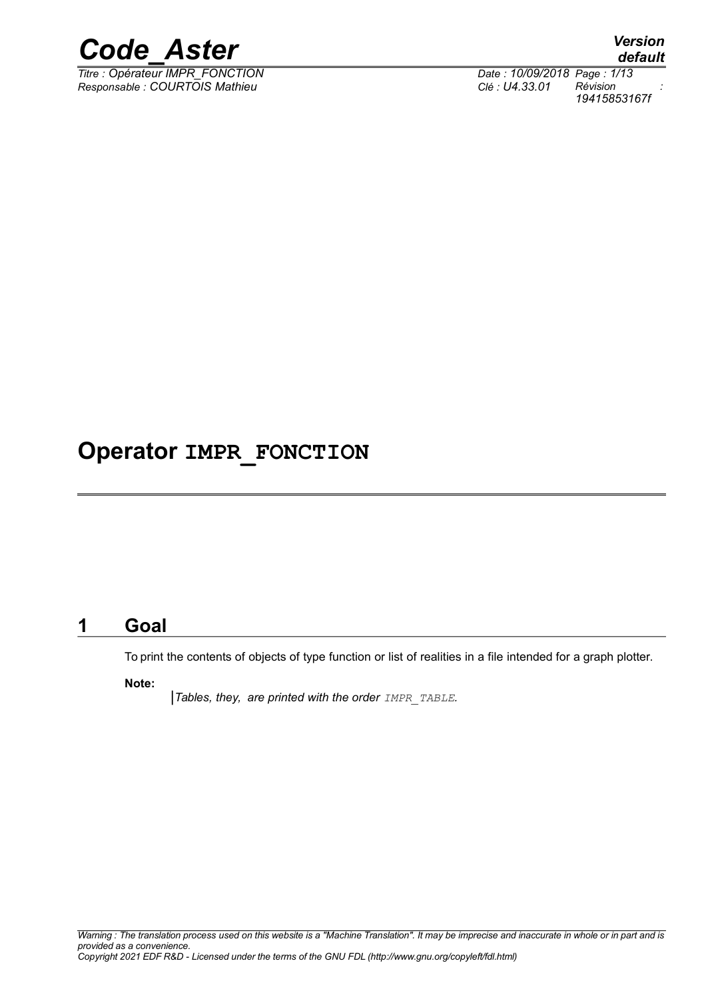

*Titre : Opérateur IMPR\_FONCTION Date : 10/09/2018 Page : 1/13 Responsable : COURTOIS Mathieu Clé : U4.33.01 Révision :*

*default 19415853167f*

### **Operator IMPR\_FONCTION**

#### **1 Goal**

To print the contents of objects of type function or list of realities in a file intended for a graph plotter.

**Note:**

*Tables, they, are printed with the order IMPR\_TABLE.*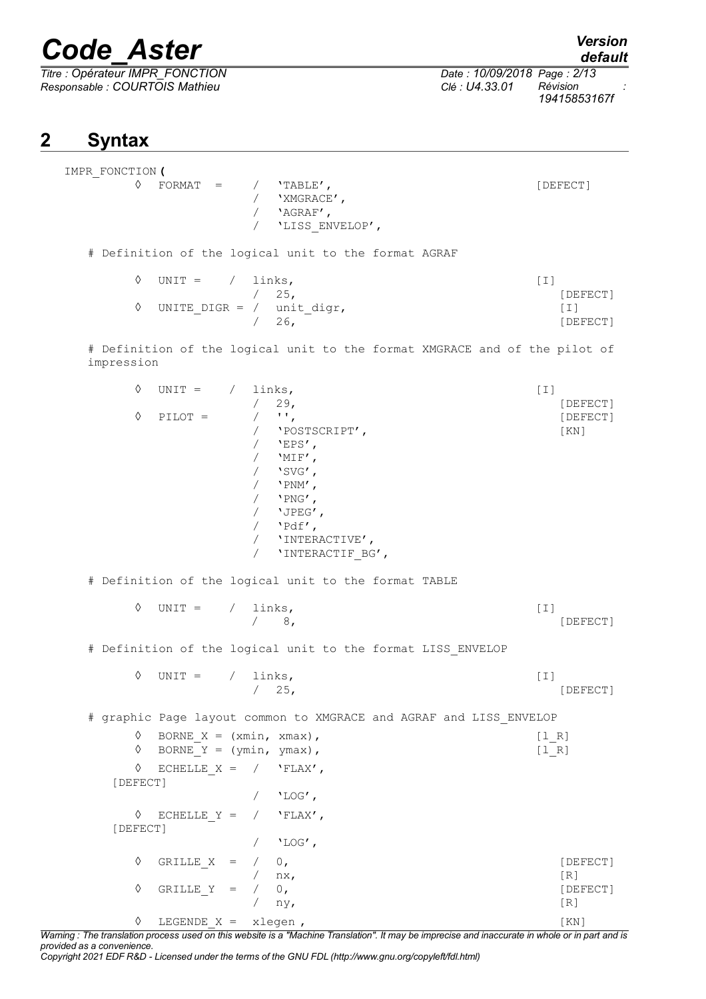*Titre : Opérateur IMPR\_FONCTION Date : 10/09/2018 Page : 2/13 Responsable : COURTOIS Mathieu Clé : U4.33.01 Révision :*

*19415853167f*

### **2 Syntax**

| IMPR FONCTION ( |            |  |                 |          |
|-----------------|------------|--|-----------------|----------|
|                 | $FORMAT =$ |  | $'$ TABLE $'$ , | [DEFECT] |
|                 |            |  | 'XMGRACE',      |          |
|                 |            |  | 'AGRAF',        |          |
|                 |            |  | 'LISS ENVELOP', |          |
|                 |            |  |                 |          |

# Definition of the logical unit to the format AGRAF

| $\Diamond$ UNIT = / links,  |               | $\perp$ $\perp$ |
|-----------------------------|---------------|-----------------|
|                             | $\sqrt{25}$ . | [DEFECT]        |
| UNITE DIGR = $/$ unit digr, |               |                 |
|                             | /26.          | [DEFECT]        |

# Definition of the logical unit to the format XMGRACE and of the pilot of impression

| ♦<br>♦        | $UNIT =$<br>$PILOT =$                                    | $\sqrt{2}$<br>$\sqrt{2}$<br>$\sqrt{2}$<br>$\sqrt{2}$<br>$\sqrt{2}$<br>$\sqrt{2}$<br>$\sqrt{2}$ | links,<br>29 <sub>1</sub><br>$\mathbf{H}$<br>'POSTSCRIPT',<br>$'$ EPS $'$ ,<br>$'MIF'$ ,<br>$'SVG'$ ,<br>$'$ PNM',<br>/ $'$ PNG',<br>/ $'JPEG'$ ,<br>/ $'Pdf',$<br>/ 'INTERACTIVE',<br>'INTERACTIF_BG', | $[1]$             | [DEFECT]<br>[DEFECT]<br>[KN] |
|---------------|----------------------------------------------------------|------------------------------------------------------------------------------------------------|---------------------------------------------------------------------------------------------------------------------------------------------------------------------------------------------------------|-------------------|------------------------------|
|               |                                                          |                                                                                                | # Definition of the logical unit to the format TABLE                                                                                                                                                    |                   |                              |
| ♦             | UNIT = $/$ links,                                        |                                                                                                | $/$ 8,                                                                                                                                                                                                  | $\lceil 1 \rceil$ | [DEFECT]                     |
|               |                                                          |                                                                                                | # Definition of the logical unit to the format LISS ENVELOP                                                                                                                                             |                   |                              |
| ♦             | $UNIT = / links,$                                        |                                                                                                | /25,                                                                                                                                                                                                    | $\lceil 1 \rceil$ | [DEFECT]                     |
|               |                                                          |                                                                                                | # graphic Page layout common to XMGRACE and AGRAF and LISS ENVELOP                                                                                                                                      |                   |                              |
| ♦<br>♦        | BORNE $X = (xmin, xmax)$ ,<br>BORNE $Y = (ymin, ymax)$ , |                                                                                                |                                                                                                                                                                                                         | [1 R]<br>[1 R]    |                              |
| ♦<br>[DEFECT] | ECHELLE $X = / \text{FLAX}',$                            |                                                                                                | $/$ 'LOG',                                                                                                                                                                                              |                   |                              |
| ♦<br>[DEFECT] | ECHELLE $Y = / \text{FLAX}',$                            |                                                                                                | $/$ 'LOG',                                                                                                                                                                                              |                   |                              |
| ♦             | GRILLE $X = / 0$ ,                                       |                                                                                                |                                                                                                                                                                                                         |                   | [DEFECT]                     |
| ♦             | GRILLE Y = $/ 0,$                                        | $/$ nx,                                                                                        | ny,                                                                                                                                                                                                     |                   | [R]<br>[DEFECT]<br>[R]       |
| ♦             | LEGENDE $X = x \leq x$                                   |                                                                                                |                                                                                                                                                                                                         |                   | KN                           |

*Warning : The translation process used on this website is a "Machine Translation". It may be imprecise and inaccurate in whole or in part and is provided as a convenience.*

*Copyright 2021 EDF R&D - Licensed under the terms of the GNU FDL (http://www.gnu.org/copyleft/fdl.html)*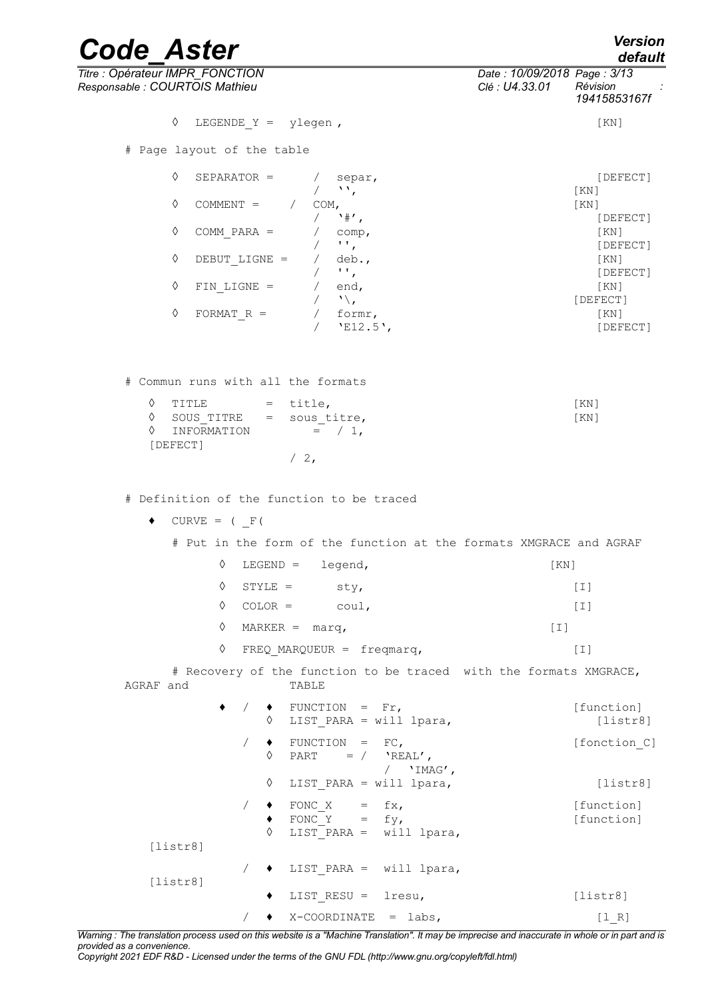| <b>Code Aster</b>                                                                                                                                  | <b>Version</b><br>default                                                 |
|----------------------------------------------------------------------------------------------------------------------------------------------------|---------------------------------------------------------------------------|
| Titre : Opérateur IMPR_FONCTION<br>Responsable : COURTOIS Mathieu                                                                                  | Date: 10/09/2018 Page: 3/13<br>Clé : U4.33.01<br>Révision<br>19415853167f |
| ♦<br>LEGENDE $Y =$ ylegen,                                                                                                                         | [KN]                                                                      |
| # Page layout of the table                                                                                                                         |                                                                           |
| ♦<br>SEPARATOR =<br>/ separ,<br>$\sqrt{2}$                                                                                                         | [DEFECT]<br>KN                                                            |
| ♦<br>COMMENT = $/$ COM,<br>$/$ $*$ ,                                                                                                               | [KN]                                                                      |
| ♦<br>COMM PARA $=$<br>$/$ comp,                                                                                                                    | [DEFECT]<br>[KN]                                                          |
| $/$ $\cdots$<br>$\Diamond$<br>DEBUT LIGNE =<br>/ $deb.,$                                                                                           | [DEFECT]<br>[KN]                                                          |
| $\sqrt{1+\frac{1}{2}}$                                                                                                                             | [DEFECT]                                                                  |
| $\Diamond$<br>$FIN$ LIGNE =<br>/ $end,$<br>$/ \sqrt{2}$                                                                                            | [KN]<br>[DEFECT]                                                          |
| $\Diamond$<br>$/$ formr,<br>FORMAT $R =$<br>$/$ 'E12.5',                                                                                           | KN<br>[DEFECT]                                                            |
| # Commun runs with all the formats<br>♦<br>$=$ title,<br>TITLE<br>♦<br>SOUS TITRE = sous titre,<br>$=$ / 1,<br>♦<br>INFORMATION<br>[DEFECT]<br>/2, | KN<br>[KN]                                                                |
| # Definition of the function to be traced                                                                                                          |                                                                           |
| $CURVE = (F()$<br>٠                                                                                                                                |                                                                           |
| # Put in the form of the function at the formats XMGRACE and AGRAF                                                                                 |                                                                           |
| ♦<br>$LEGEND =$<br>legend,                                                                                                                         | [KN]                                                                      |
| ♦<br>$STYLE =$ sty,                                                                                                                                | $[1]$                                                                     |
| ♦<br>$COLOR = \text{coul},$                                                                                                                        | $[1]$                                                                     |
| ♦<br>$MARKER = \text{marq,}$                                                                                                                       | $\lceil 1 \rceil$                                                         |

◊ FREQ\_MARQUEUR = freqmarq, [I]

# Recovery of the function to be traced with the formats XMGRACE,<br>and TABLE AGRAF and

|          | $\bullet$ / $\bullet$ FUNCTION = Fr,<br>LIST PARA = will lpara,<br>♦ | [function]<br>[liststr8] |
|----------|----------------------------------------------------------------------|--------------------------|
|          | $FUNCTION = FC,$<br>♦<br>PART = $/$ 'REAL',<br>'IMAG',               | [fonction C]             |
|          | ♦<br>LIST PARA = will lpara,                                         | [listr8]                 |
| [listr8] | $FONC_X = fx,$<br>FONC $Y = fy$ ,<br>♦<br>LIST PARA = $will$ lpara,  | [function]<br>[function] |
| [listr8] | $\bullet$ LIST PARA = will lpara,                                    |                          |
|          | LIST RESU = $lresu$ ,<br>٠                                           | [listr8]                 |
|          | X-COORDINATE = labs,                                                 | [1 R]                    |

*Warning : The translation process used on this website is a "Machine Translation". It may be imprecise and inaccurate in whole or in part and is provided as a convenience.*

*Copyright 2021 EDF R&D - Licensed under the terms of the GNU FDL (http://www.gnu.org/copyleft/fdl.html)*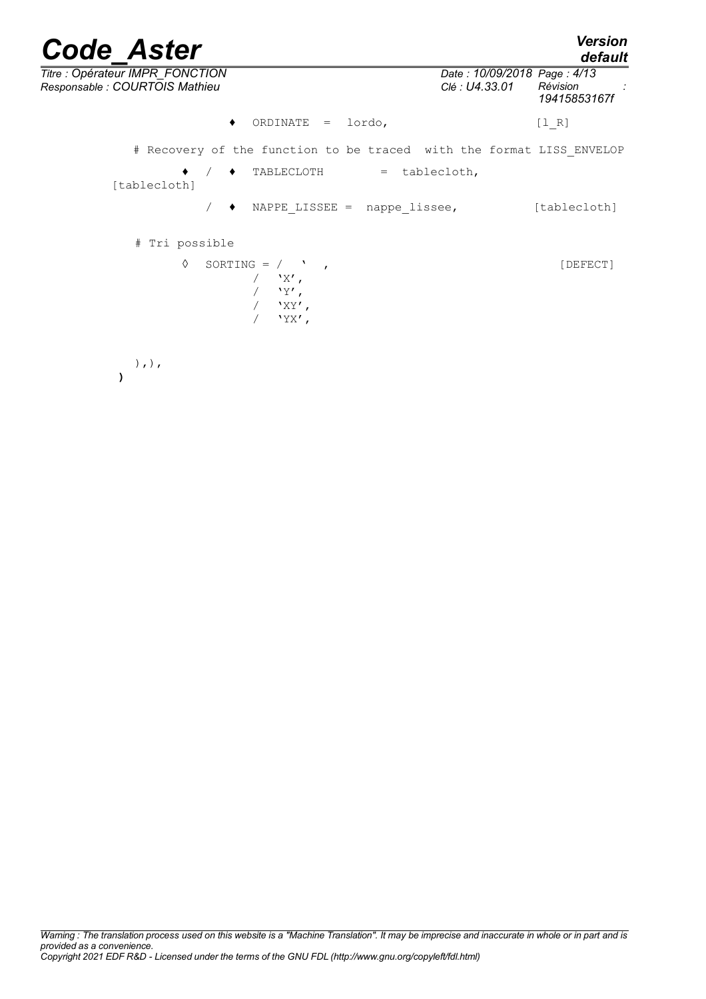| <b>Code Aster</b>                                                    |                                               | <b>Version</b><br>default |
|----------------------------------------------------------------------|-----------------------------------------------|---------------------------|
| Titre : Opérateur IMPR_FONCTION<br>Responsable : COURTOIS Mathieu    | Date: 10/09/2018 Page: 4/13<br>Clé : U4.33.01 | Révision<br>19415853167f  |
| ORDINATE<br>lordo,<br>$=$                                            |                                               | $[1 R]$                   |
| # Recovery of the function to be traced with the format LISS ENVELOP |                                               |                           |
| TABLECLOTH<br>= tablecloth,<br>[tablecloth]                          |                                               |                           |
| NAPPE LISSEE = $nape \text{ lisse},$<br>٠                            |                                               | [tablecloth]              |
| # Tri possible                                                       |                                               |                           |
| ♦<br>SORTING = $/$ $,$<br>$'X'$ ,<br>'Y',<br>$'$ XY',<br>$'YX'$ ,    |                                               | [DEFECT]                  |
| $),$ $)$ ,                                                           |                                               |                           |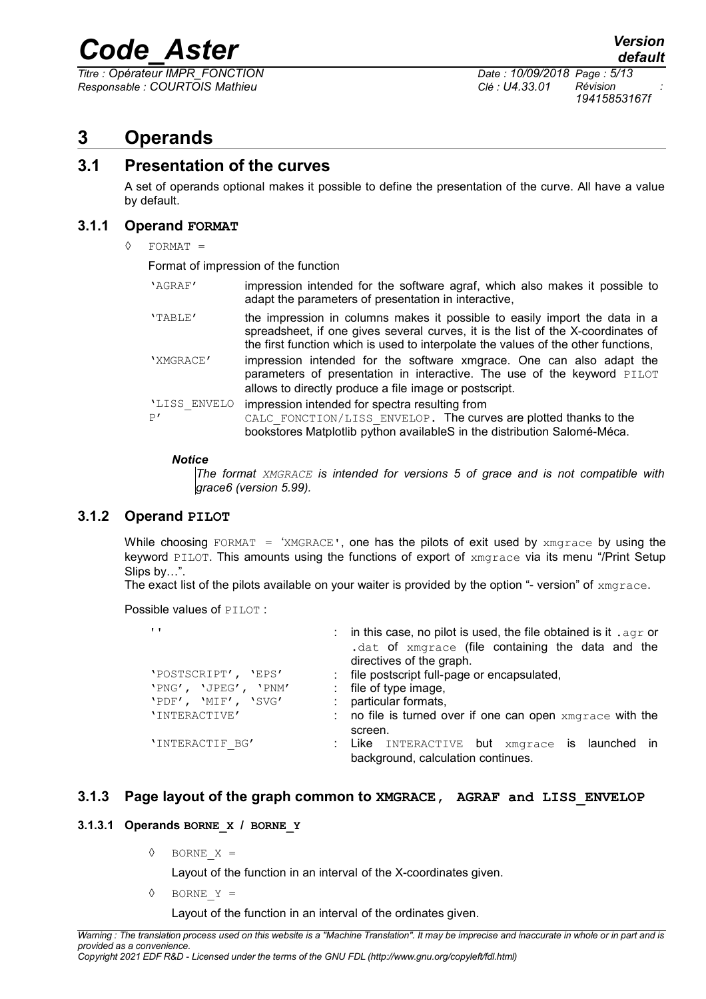*Titre : Opérateur IMPR\_FONCTION Date : 10/09/2018 Page : 5/13 Responsable : COURTOIS Mathieu Clé : U4.33.01 Révision :*

*19415853167f*

#### **3 Operands**

#### **3.1 Presentation of the curves**

A set of operands optional makes it possible to define the presentation of the curve. All have a value by default.

#### **3.1.1 Operand FORMAT**

◊ FORMAT =

Format of impression of the function

| 'AGRAF'            | impression intended for the software agraf, which also makes it possible to<br>adapt the parameters of presentation in interactive,                                                                                                                  |
|--------------------|------------------------------------------------------------------------------------------------------------------------------------------------------------------------------------------------------------------------------------------------------|
| 'TABLE'            | the impression in columns makes it possible to easily import the data in a<br>spreadsheet, if one gives several curves, it is the list of the X-coordinates of<br>the first function which is used to interpolate the values of the other functions, |
| 'XMGRACE'          | impression intended for the software xmgrace. One can also adapt the<br>parameters of presentation in interactive. The use of the keyword PILOT<br>allows to directly produce a file image or postscript.                                            |
| 'LISS ENVELO<br>P' | impression intended for spectra resulting from<br>CALC FONCTION/LISS ENVELOP. The curves are plotted thanks to the<br>bookstores Matplotlib python availableS in the distribution Salomé-Méca.                                                       |

#### *Notice*

*The format XMGRACE is intended for versions 5 of grace and is not compatible with grace6 (version 5.99).*

#### **3.1.2 Operand PILOT**

While choosing FORMAT = 'XMGRACE', one has the pilots of exit used by  $x_{\text{m}}$  and  $x_{\text{m}}$  and the keyword PILOT. This amounts using the functions of export of xmgrace via its menu "/Print Setup Slips by…".

The exact list of the pilots available on your waiter is provided by the option "- version" of  $x_{\text{mqrace}}$ .

Possible values of **PILOT**:

| $\mathbf{I}$                                                       | : in this case, no pilot is used, the file obtained is it . agr or<br>.dat of xmgrace (file containing the data and the<br>directives of the graph. |
|--------------------------------------------------------------------|-----------------------------------------------------------------------------------------------------------------------------------------------------|
| 'POSTSCRIPT', 'EPS'<br>'PNG', 'JPEG', 'PNM'<br>'PDF', 'MIF', 'SVG' | : file postscript full-page or encapsulated,<br>: file of type image,<br>: particular formats,                                                      |
| 'INTERACTIVE'                                                      | : no file is turned over if one can open $x$ mgrace with the<br>screen.                                                                             |
| 'INTERACTIF BG'                                                    | : Like INTERACTIVE but xmgrace is launched in<br>background, calculation continues.                                                                 |

#### **3.1.3 Page layout of the graph common to XMGRACE, AGRAF and LISS\_ENVELOP**

#### **3.1.3.1 Operands BORNE\_X / BORNE\_Y**

◊ BORNE\_X =

Layout of the function in an interval of the X-coordinates given.

◊ BORNE\_Y =

Layout of the function in an interval of the ordinates given.

*Warning : The translation process used on this website is a "Machine Translation". It may be imprecise and inaccurate in whole or in part and is provided as a convenience. Copyright 2021 EDF R&D - Licensed under the terms of the GNU FDL (http://www.gnu.org/copyleft/fdl.html)*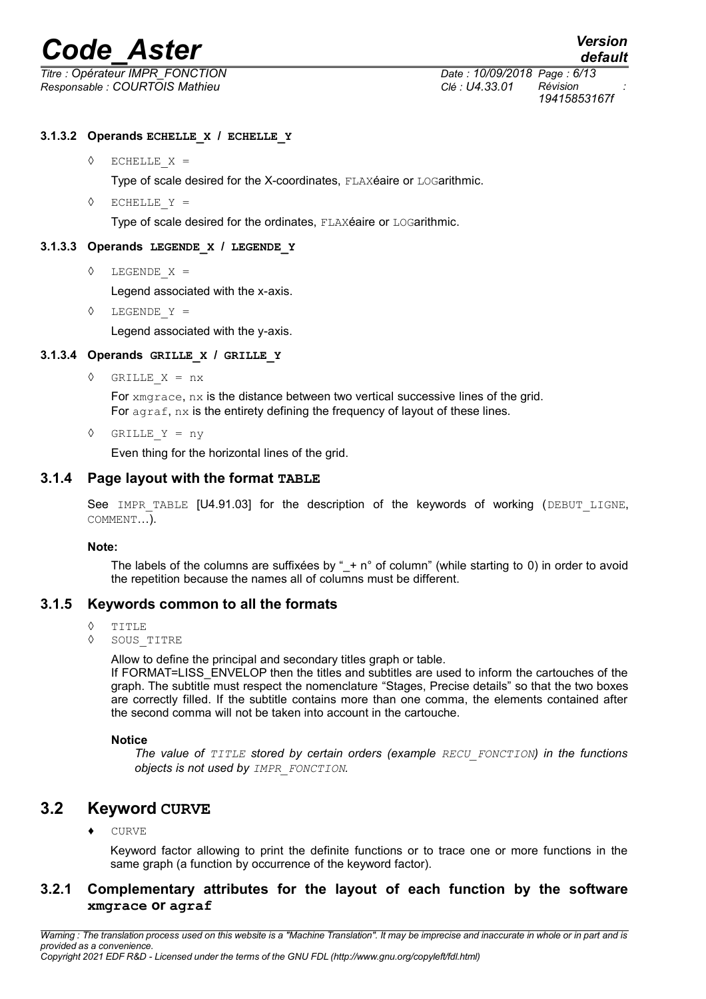*Responsable : COURTOIS Mathieu Clé : U4.33.01 Révision :*

*Titre : Opérateur IMPR\_FONCTION Date : 10/09/2018 Page : 6/13 19415853167f*

#### **3.1.3.2 Operands ECHELLE\_X / ECHELLE\_Y**

◊ ECHELLE\_X =

Type of scale desired for the X-coordinates, FLAXéaire or LOGarithmic.

◊ ECHELLE\_Y =

Type of scale desired for the ordinates, FLAXéaire or LOGarithmic.

#### **3.1.3.3 Operands LEGENDE\_X / LEGENDE\_Y**

◊ LEGENDE\_X =

Legend associated with the x-axis.

◊ LEGENDE\_Y =

Legend associated with the y-axis.

#### **3.1.3.4 Operands GRILLE\_X / GRILLE\_Y**

◊ GRILLE\_X = nx

For xmgrace, nx is the distance between two vertical successive lines of the grid. For  $a\alpha raf$ ,  $nx$  is the entirety defining the frequency of layout of these lines.

◊ GRILLE\_Y = ny

Even thing for the horizontal lines of the grid.

#### **3.1.4 Page layout with the format TABLE**

See IMPR TABLE [U4.91.03] for the description of the keywords of working (DEBUT LIGNE, COMMENT…).

#### **Note:**

The labels of the columns are suffixees by " $+ n<sup>°</sup>$  of column" (while starting to 0) in order to avoid the repetition because the names all of columns must be different.

#### **3.1.5 Keywords common to all the formats**

- $\Diamond$  TITLE
- ◊ SOUS\_TITRE

Allow to define the principal and secondary titles graph or table.

If FORMAT=LISS\_ENVELOP then the titles and subtitles are used to inform the cartouches of the graph. The subtitle must respect the nomenclature "Stages, Precise details" so that the two boxes are correctly filled. If the subtitle contains more than one comma, the elements contained after the second comma will not be taken into account in the cartouche.

#### **Notice**

*The value of TITLE stored by certain orders (example RECU\_FONCTION) in the functions objects is not used by IMPR\_FONCTION.*

#### **3.2 Keyword CURVE**

♦ CURVE

Keyword factor allowing to print the definite functions or to trace one or more functions in the same graph (a function by occurrence of the keyword factor).

#### **3.2.1 Complementary attributes for the layout of each function by the software xmgrace or agraf**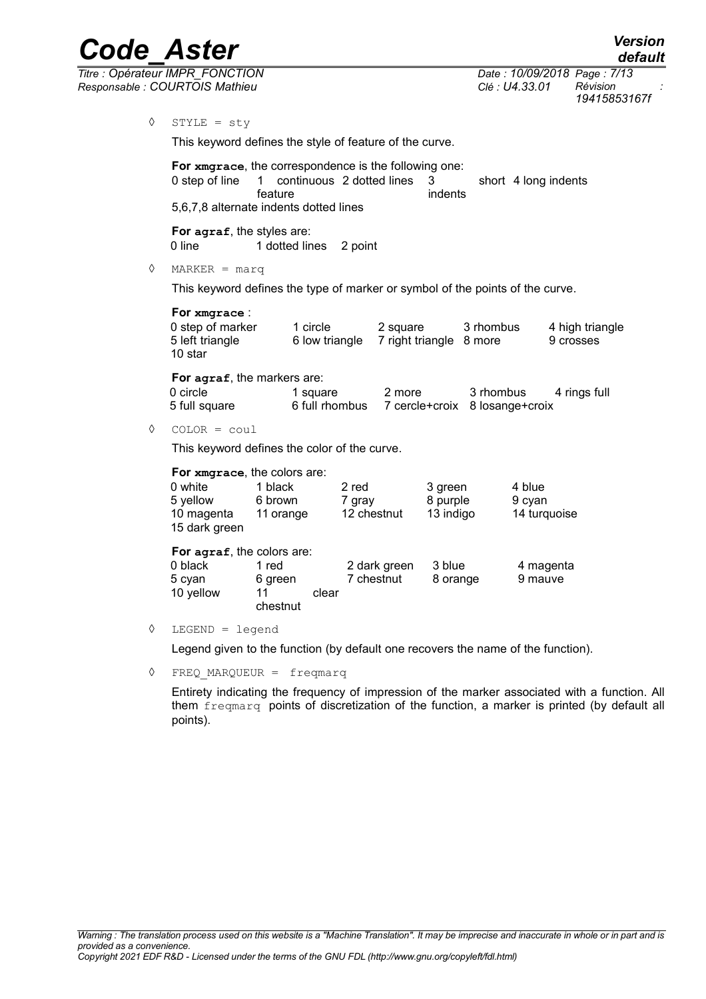*Code\_Aster Version default*

*19415853167f*

*Titre : Opérateur IMPR\_FONCTION Date : 10/09/2018 Page : 7/13 Responsable : COURTOIS Mathieu Clé : U4.33.01 Révision :* ◊ STYLE = sty This keyword defines the style of feature of the curve. **For xmgrace**, the correspondence is the following one: 0 step of line 1 continuous 2 dotted lines 3 short feature indents short 4 long indents 5,6,7,8 alternate indents dotted lines

> **For agraf**, the styles are: 0 line 1 dotted lines 2 point

◊ MARKER = marq

This keyword defines the type of marker or symbol of the points of the curve.

| For xmgrace:                                   |                            |                                     |           |                              |
|------------------------------------------------|----------------------------|-------------------------------------|-----------|------------------------------|
| 0 step of marker<br>5 left triangle<br>10 star | 1 circle<br>6 low triangle | 2 square<br>7 right triangle 8 more | 3 rhombus | 4 high triangle<br>9 crosses |

**For agraf**, the markers are:

| 0 circle      | 1 square       | 2 more | 3 rhombus                      | 4 rings full |
|---------------|----------------|--------|--------------------------------|--------------|
| 5 full square | 6 full rhombus |        | 7 cercle+croix 8 losange+croix |              |

◊ COLOR = coul

This keyword defines the color of the curve.

| For xmgrace, the colors are: |                            |       |              |           |              |  |  |  |
|------------------------------|----------------------------|-------|--------------|-----------|--------------|--|--|--|
| 0 white                      | 1 black                    |       | 2 red        | 3 green   | 4 blue       |  |  |  |
| 5 yellow                     | 6 brown                    |       | 7 gray       | 8 purple  | 9 cyan       |  |  |  |
| 10 magenta                   | 11 orange                  |       | 12 chestnut  | 13 indigo | 14 turquoise |  |  |  |
| 15 dark green                |                            |       |              |           |              |  |  |  |
|                              | For agraf, the colors are: |       |              |           |              |  |  |  |
| 0 black                      | 1 red                      |       | 2 dark green | 3 blue    | 4 magenta    |  |  |  |
| 5 cyan                       | 6 green                    |       | 7 chestnut   | 8 orange  | 9 mauve      |  |  |  |
| 10 yellow                    | 11                         | clear |              |           |              |  |  |  |
|                              | chestnut                   |       |              |           |              |  |  |  |

◊ LEGEND = legend

Legend given to the function (by default one recovers the name of the function).

◊ FREQ\_MARQUEUR = freqmarq

Entirety indicating the frequency of impression of the marker associated with a function. All them freqmarq points of discretization of the function, a marker is printed (by default all points).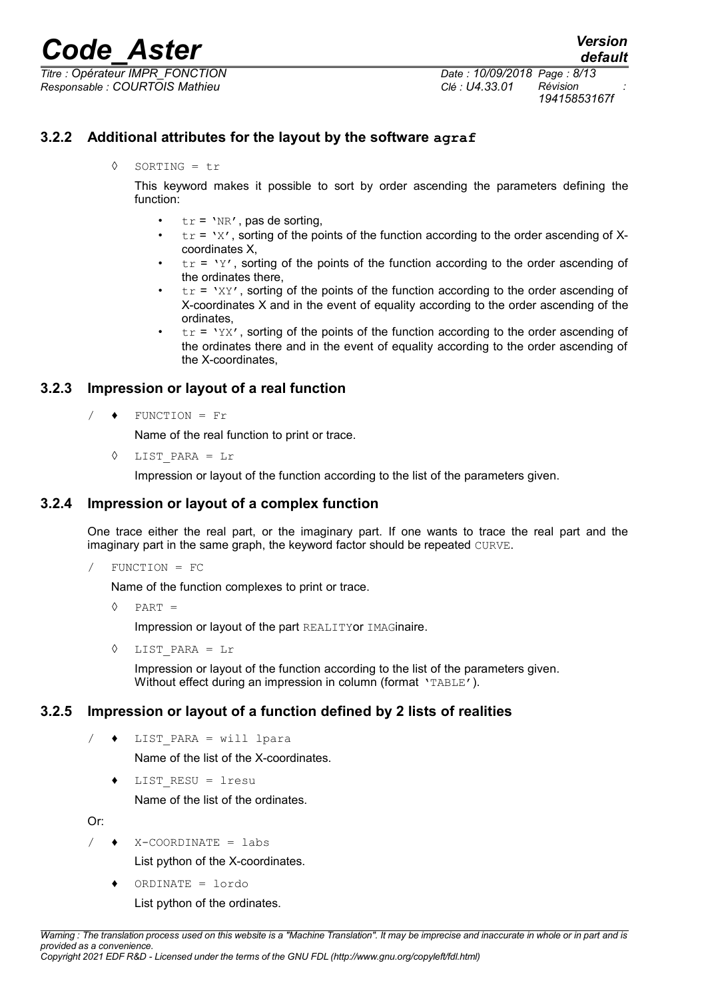*Titre : Opérateur IMPR\_FONCTION Date : 10/09/2018 Page : 8/13 Responsable : COURTOIS Mathieu Clé : U4.33.01 Révision :*

#### **3.2.2 Additional attributes for the layout by the software agraf**

◊ SORTING = tr

This keyword makes it possible to sort by order ascending the parameters defining the function:

- $tr = 'NR'$ , pas de sorting,
- $tr = 'X'$ , sorting of the points of the function according to the order ascending of Xcoordinates X,
- $tr = YY'$ , sorting of the points of the function according to the order ascending of the ordinates there,
- $tr = 'XY'$ , sorting of the points of the function according to the order ascending of X-coordinates X and in the event of equality according to the order ascending of the ordinates,
- $tr = YXX'$ , sorting of the points of the function according to the order ascending of the ordinates there and in the event of equality according to the order ascending of the X-coordinates,

#### **3.2.3 Impression or layout of a real function**

 $/ \bullet$  FUNCTION = Fr

Name of the real function to print or trace.

◊ LIST\_PARA = Lr

Impression or layout of the function according to the list of the parameters given.

#### **3.2.4 Impression or layout of a complex function**

One trace either the real part, or the imaginary part. If one wants to trace the real part and the imaginary part in the same graph, the keyword factor should be repeated CURVE.

/ FUNCTION = FC

Name of the function complexes to print or trace.

 $\Diamond$  PART =

Impression or layout of the part REALITYor IMAGinaire.

 $LIST$  PARA = Lr

Impression or layout of the function according to the list of the parameters given. Without effect during an impression in column (format 'TABLE').

#### **3.2.5 Impression or layout of a function defined by 2 lists of realities**

/ ♦ LIST\_PARA = will lpara

Name of the list of the X-coordinates.

LIST RESU =  $l$ resu

Name of the list of the ordinates.

Or:

 $\triangleleft$  X-COORDINATE = labs

List python of the X-coordinates.

♦ ORDINATE = lordo

List python of the ordinates.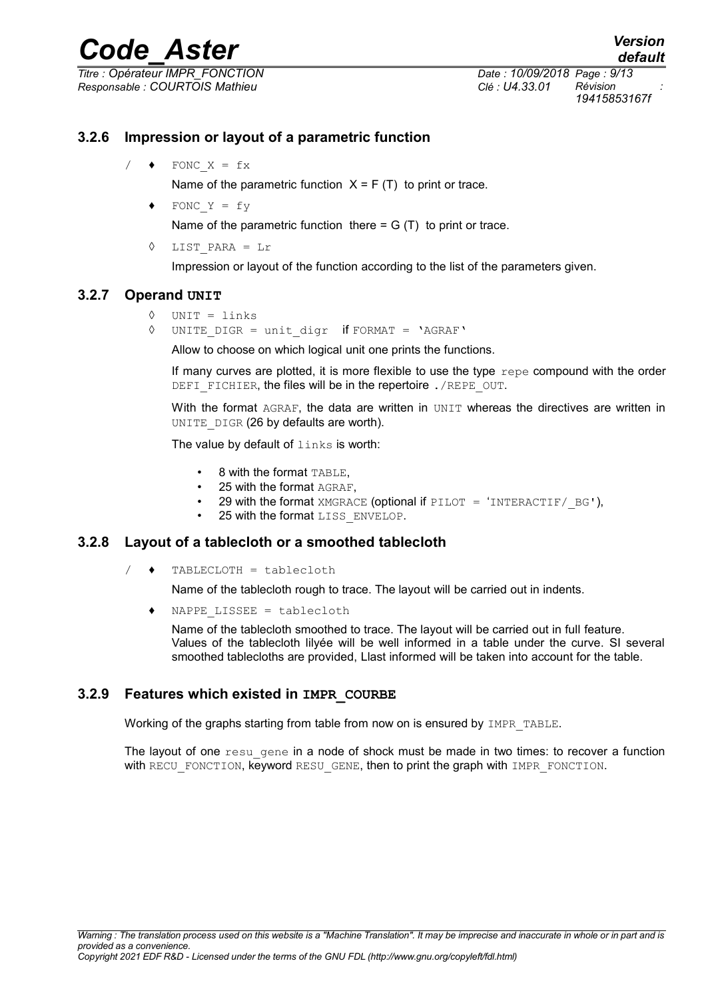*Titre : Opérateur IMPR\_FONCTION Date : 10/09/2018 Page : 9/13 Responsable : COURTOIS Mathieu Clé : U4.33.01 Révision :*

*default 19415853167f*

#### **3.2.6 Impression or layout of a parametric function**

 $/ \bullet$  FONC X = fx

Name of the parametric function  $X = F(T)$  to print or trace.

- $\triangleleft$  FONC Y = fy Name of the parametric function there  $= G(T)$  to print or trace.
- ◊ LIST\_PARA = Lr

Impression or layout of the function according to the list of the parameters given.

#### **3.2.7 Operand UNIT**

```
◊ UNIT = links
```
◊ UNITE\_DIGR = unit\_digr if FORMAT = 'AGRAF'

Allow to choose on which logical unit one prints the functions.

If many curves are plotted, it is more flexible to use the type  $\epsilon$  repe compound with the order DEFI FICHIER, the files will be in the repertoire . /REPE\_OUT.

With the format AGRAF, the data are written in UNIT whereas the directives are written in UNITE DIGR (26 by defaults are worth).

The value by default of links is worth:

- 8 with the format TABLE,
- 25 with the format AGRAF,
- 29 with the format XMGRACE (optional if PILOT = 'INTERACTIF/ $BG'$ ).
- 25 with the format LISS ENVELOP.

#### **3.2.8 Layout of a tablecloth or a smoothed tablecloth**

/ ♦ TABLECLOTH = tablecloth

Name of the tablecloth rough to trace. The layout will be carried out in indents.

NAPPE LISSEE = tablecloth

Name of the tablecloth smoothed to trace. The layout will be carried out in full feature. Values of the tablecloth lilyée will be well informed in a table under the curve. SI several smoothed tablecloths are provided, Llast informed will be taken into account for the table.

#### **3.2.9 Features which existed in IMPR\_COURBE**

Working of the graphs starting from table from now on is ensured by IMPR TABLE.

The layout of one resu gene in a node of shock must be made in two times: to recover a function with RECU FONCTION, keyword RESU GENE, then to print the graph with IMPR FONCTION.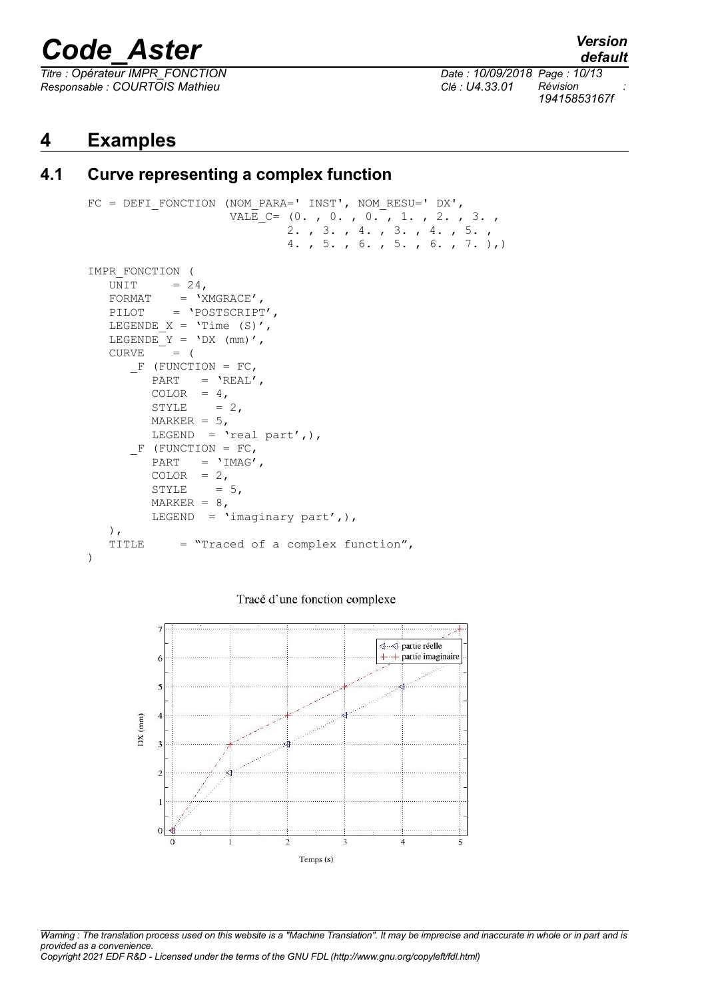*Titre : Opérateur IMPR\_FONCTION Date : 10/09/2018 Page : 10/13 Responsable : COURTOIS Mathieu Clé : U4.33.01 Révision :*

*default 19415853167f*

#### **4 Examples**

#### **4.1 Curve representing a complex function**

```
FC = DEFI FONCTION (NOM PARA=' INST', NOM RESU=' DX',
                      VALE<sub>_</sub>C= (0. , 0. , 0. , 0. , 1. , 2. , 3. , 2. , 3. , 4. , 3. , 4. , 5. ,
                                 4. , 5. , 6. , 5. , 6. , 7. ),)
IMPR_FONCTION (
   UNIT = 24,
   \begin{array}{rcl} \texttt{FORMAT} & = & \texttt{YMGRACE} \texttt{'} \texttt{'} \end{array}PILOT = 'POSTSCRIPT',
   LEGENDE X = 'Time (S)',LEGENDE Y = 'DX (mm)',
   CURVE = (F (FUNCTION = FC,
          PART = 'REAL',
          COLOR = 4,
          STYLE = 2,
         MARKER = 5,
          LEGEND = \text{real part}',F (FUNCTION = FC,
          PART = 'IMAG',COLOR = 2,STYLE = 5,
          MARKER = 8,LEGEND = 'imaginary part', ),
    ),
    TITLE = "Traced of a complex function",
)
```
Tracé d'une fonction complexe



*Warning : The translation process used on this website is a "Machine Translation". It may be imprecise and inaccurate in whole or in part and is provided as a convenience. Copyright 2021 EDF R&D - Licensed under the terms of the GNU FDL (http://www.gnu.org/copyleft/fdl.html)*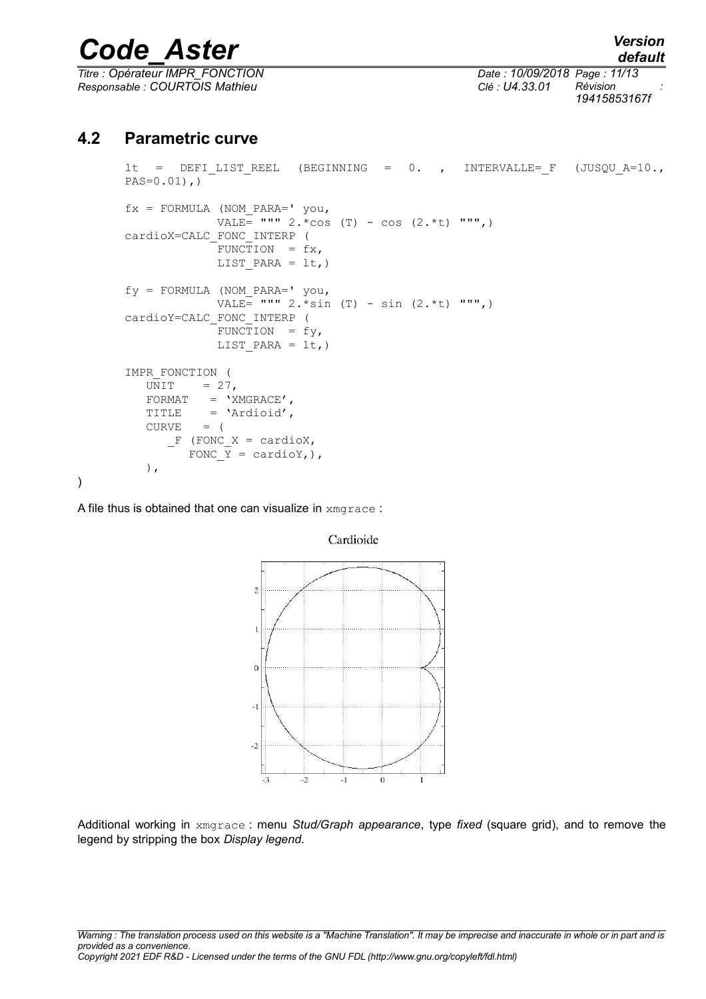*Titre : Opérateur IMPR\_FONCTION Date : 10/09/2018 Page : 11/13 Responsable : COURTOIS Mathieu Clé : U4.33.01 Révision :*

*19415853167f*

#### **4.2 Parametric curve**

```
lt = DEFI_LIST_REEL (BEGINNING = 0. , INTERVALLE= F (JUSQU_A=10.,
PAS=0.01),)
fx = FORMULA (NOM PARA=' you,VALE = """ 2.*cos (T) - cos (2.*t) """,)
cardioX=CALC_FONC_INTERP (
             FUNCTION = f x,
             LIST PARA = lt,)
fy = FORMULA (NOM_PARA=' you,
             VALE= """ 2.*\sin (T) - sin (2.*t) """,)
cardioY=CALC_FONC_INTERP (
             FUNCTION = fy,
             LIST PARA = lt,)
IMPR_FONCTION (
  UNIT = 27,
   FORMAT = 'XMGRACE',TITLE = 'Ardioid',
  CURVE = (F (FONC X = cardioX,
        FONC \overline{Y} = cardioY,),
    ),
```
A file thus is obtained that one can visualize in xmgrace :

)



Cardioide

Additional working in xmgrace : menu *Stud/Graph appearance*, type *fixed* (square grid), and to remove the legend by stripping the box *Display legend*.

*default*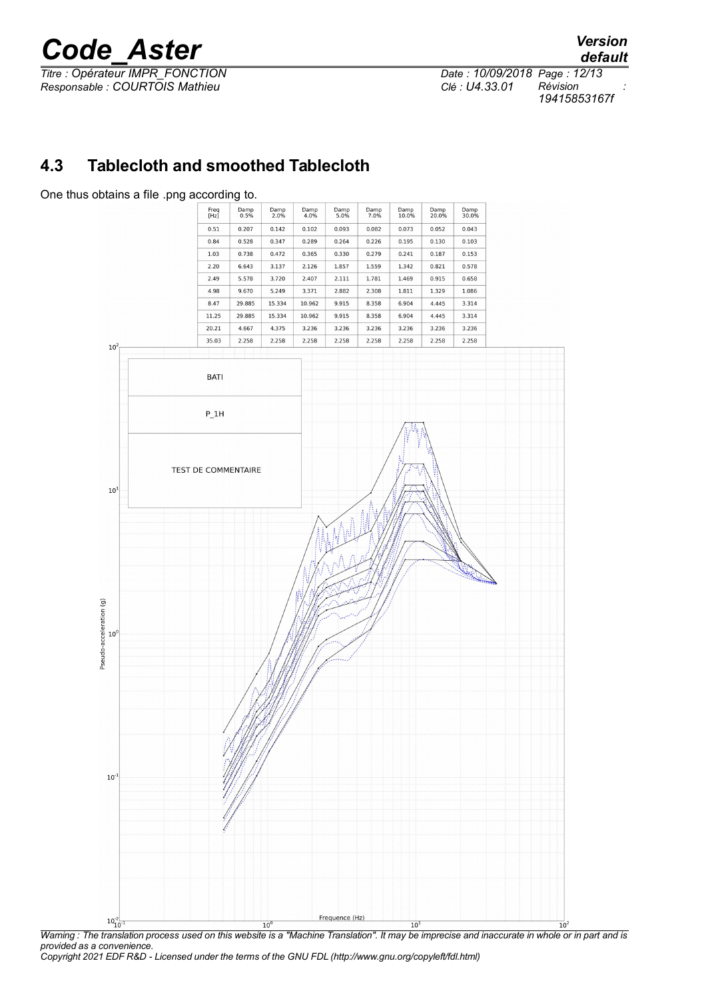*Titre : Opérateur IMPR\_FONCTION Date : 10/09/2018 Page : 12/13 Responsable : COURTOIS Mathieu Clé : U4.33.01 Révision :*

*19415853167f*

#### **4.3 Tablecloth and smoothed Tablecloth**



*Warning : The translation process used on this website is a "Machine Translation". It may be imprecise and inaccurate in whole or in part and is provided as a convenience.*

*Copyright 2021 EDF R&D - Licensed under the terms of the GNU FDL (http://www.gnu.org/copyleft/fdl.html)*